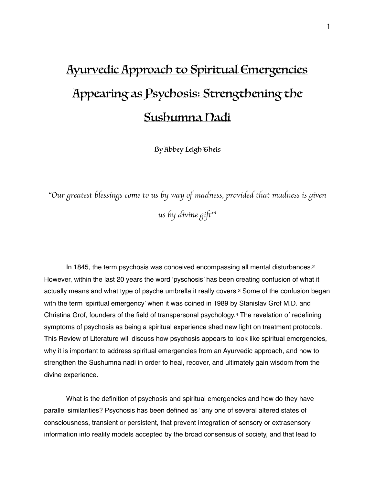# Ayurvedic Approach to Spiritual Emergencies Appearing as Psychosis: Strengthening the Sushumna Nadi

<span id="page-0-3"></span><span id="page-0-2"></span><span id="page-0-1"></span><span id="page-0-0"></span>By Abbey Leigh Gheis

"*Our greatest blessings come to us by way of madness, provided that madness is given us by divine gift*" *[1](#page-10-0)*

In 1845, the term psychosis was conceived encompassing all mental disturbances[.2](#page-10-1) However, within the last 20 years the word 'pyschosis' has been creating confusion of what it actually means and what type of psyche umbrella it really covers.[3](#page-10-2) Some of the confusion began with the term 'spiritual emergency' when it was coined in 1989 by Stanislav Grof M.D. and Christina Grof, founders of the field of transpersonal psychology.[4](#page-10-3) The revelation of redefining symptoms of psychosis as being a spiritual experience shed new light on treatment protocols. This Review of Literature will discuss how psychosis appears to look like spiritual emergencies, why it is important to address spiritual emergencies from an Ayurvedic approach, and how to strengthen the Sushumna nadi in order to heal, recover, and ultimately gain wisdom from the divine experience.

What is the definition of psychosis and spiritual emergencies and how do they have parallel similarities? Psychosis has been defined as "any one of several altered states of consciousness, transient or persistent, that prevent integration of sensory or extrasensory information into reality models accepted by the broad consensus of society, and that lead to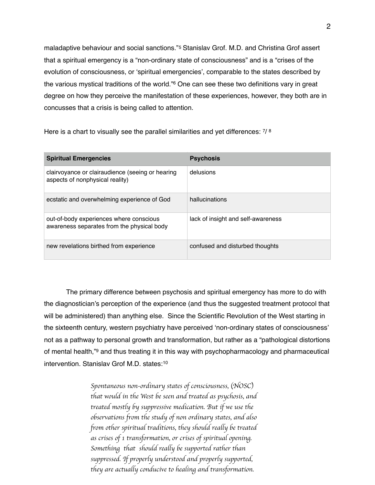<span id="page-1-1"></span><span id="page-1-0"></span>maladaptive behaviour and social sanctions."[5](#page-10-4) Stanislav Grof. M.D. and Christina Grof assert that a spiritual emergency is a "non-ordinary state of consciousness" and is a "crises of the evolution of consciousness, or 'spiritual emergencies', comparable to the states described by thevarious mystical traditions of the world."<sup>[6](#page-10-5)</sup> One can see these two definitions vary in great degree on how they perceive the manifestation of these experiences, however, they both are in concusses that a crisis is being called to attention.

<span id="page-1-3"></span><span id="page-1-2"></span>Here is a chart to visually see the parallel similarities and yet differences:  $7/8$  $7/8$  $7/8$ 

| <b>Spiritual Emergencies</b>                                                          | <b>Psychosis</b>                   |
|---------------------------------------------------------------------------------------|------------------------------------|
| clairvoyance or clairaudience (seeing or hearing<br>aspects of nonphysical reality)   | delusions                          |
| ecstatic and overwhelming experience of God                                           | hallucinations                     |
| out-of-body experiences where conscious<br>awareness separates from the physical body | lack of insight and self-awareness |
| new revelations birthed from experience                                               | confused and disturbed thoughts    |

The primary difference between psychosis and spiritual emergency has more to do with the diagnostician's perception of the experience (and thus the suggested treatment protocol that will be administered) than anything else. Since the Scientific Revolution of the West starting in the sixteenth century, western psychiatry have perceived 'non-ordinary states of consciousness' not as a pathway to personal growth and transformation, but rather as a "pathological distortions of mental health,"<sup>[9](#page-10-8)</sup> and thus treating it in this way with psychopharmacology and pharmaceutical intervention. Stanislav Grof M.D. states:[10](#page-10-9)

> <span id="page-1-5"></span><span id="page-1-4"></span>*Spontaneous non-ordinary states of consciousness,* (*NOSC*) *that would in the West be seen and treated as psychosis, and treated mostly by suppressive medication. But if we use the observations from the study of non ordinary states, and also from other spiritual traditions, they should really be treated as crises of 1 transformation, or crises of spiritual opening. Something that should really be supported rather than suppressed. If properly understood and properly supported, they are actually conducive to healing and transformation.*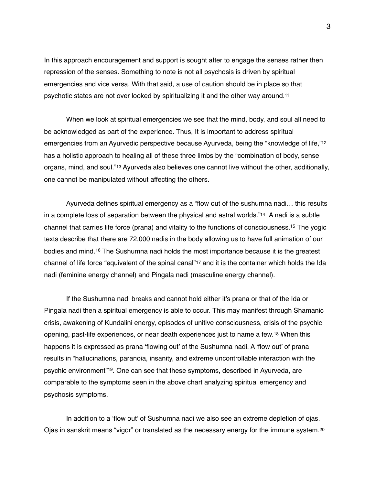In this approach encouragement and support is sought after to engage the senses rather then repression of the senses. Something to note is not all psychosis is driven by spiritual emergencies and vice versa. With that said, a use of caution should be in place so that psychotic states are not over looked by spiritualizing it and the other way around[.11](#page-10-10)

<span id="page-2-1"></span><span id="page-2-0"></span>When we look at spiritual emergencies we see that the mind, body, and soul all need to be acknowledged as part of the experience. Thus, It is important to address spiritual emergencies from an Ayurvedic perspective because Ayurveda, being the "knowledge of life,["12](#page-10-11) has a holistic approach to healing all of these three limbs by the "combination of body, sense organs, mind, and soul.["13](#page-10-12) Ayurveda also believes one cannot live without the other, additionally, one cannot be manipulated without affecting the others.

<span id="page-2-4"></span><span id="page-2-3"></span><span id="page-2-2"></span>Ayurveda defines spiritual emergency as a "flow out of the sushumna nadi… this results in a complete loss of separation between the physical and astral worlds.["14](#page-10-13) A nadi is a subtle channel that carries life force (prana) and vitality to the functions of consciousness[.](#page-10-14)<sup>[15](#page-10-14)</sup> The yogic texts describe that there are 72,000 nadis in the body allowing us to have full animation of our bodiesand mind.<sup>[16](#page-10-15)</sup> The Sushumna nadi holds the most importance because it is the greatest channel of life force "equivalent of the spinal canal"[17](#page-10-16) and it is the container which holds the Ida nadi (feminine energy channel) and Pingala nadi (masculine energy channel).

<span id="page-2-7"></span><span id="page-2-6"></span><span id="page-2-5"></span>If the Sushumna nadi breaks and cannot hold either it's prana or that of the Ida or Pingala nadi then a spiritual emergency is able to occur. This may manifest through Shamanic crisis, awakening of Kundalini energy, episodes of unitive consciousness, crisis of the psychic opening, past-life experiences, or near death experiences just to name a few.[18](#page-10-17) When this happens it is expressed as prana 'flowing out' of the Sushumna nadi. A 'flow out' of prana results in "hallucinations, paranoia, insanity, and extreme uncontrollable interaction with the psychic environment<sup>"[19](#page-10-18)</sup>. One can see that these symptoms, described in Ayurveda, are comparable to the symptoms seen in the above chart analyzing spiritual emergency and psychosis symptoms.

<span id="page-2-9"></span><span id="page-2-8"></span>In addition to a 'flow out' of Sushumna nadi we also see an extreme depletion of ojas. Ojas in sanskrit means "vigor" or translated as the necessary energy for the immune system.[20](#page-10-19)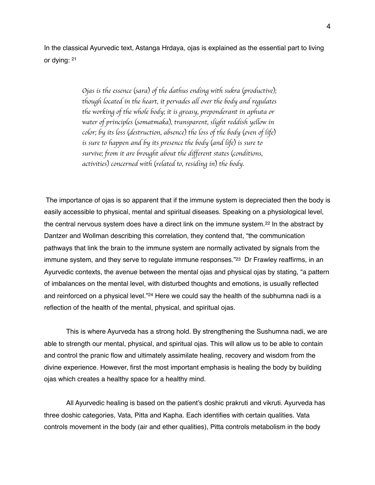In the classical Ayurvedic text, Astanga Hrdaya, ojas is explained as the essential part to living or dying: [21](#page-10-20)

> <span id="page-3-0"></span>*Ojas is the essence* (*sara*) *of the dathus ending with sukra* (*productive*)*; though located in the heart, it pervades all over the body and regulates the working of the whole body; it is greasy, preponderant in aphuta or water of principles* (*somatmaka*)*, transparent, slight reddish yellow in color; by its loss* (*destruction, absence*) *the loss of the body* (*even of life*) *is sure to happen and by its presence the body* (*and life*) *is sure to survive; from it are brought about the different states* (*conditions, activities*) *concerned with* (*related to, residing in*) *the body.*

<span id="page-3-2"></span><span id="page-3-1"></span> The importance of ojas is so apparent that if the immune system is depreciated then the body is easily accessible to physical, mental and spiritual diseases. Speaking on a physiological level, thecentral nervous system does have a direct link on the immune system. $^{22}$  $^{22}$  $^{22}$  In the abstract by Dantzer and Wollman describing this correlation, they contend that, "the communication pathways that link the brain to the immune system are normally activated by signals from the immune system, and they serve to regulate immune responses."<sup>23</sup> Dr Frawley reaffirms, in an Ayurvedic contexts, the avenue between the mental ojas and physical ojas by stating, "a pattern of imbalances on the mental level, with disturbed thoughts and emotions, is usually reflected and reinforced on a physical level."<sup>[24](#page-10-23)</sup> Here we could say the health of the subhumna nadi is a reflection of the health of the mental, physical, and spiritual ojas.

<span id="page-3-3"></span>This is where Ayurveda has a strong hold. By strengthening the Sushumna nadi, we are able to strength our mental, physical, and spiritual ojas. This will allow us to be able to contain and control the pranic flow and ultimately assimilate healing, recovery and wisdom from the divine experience. However, first the most important emphasis is healing the body by building ojas which creates a healthy space for a healthy mind.

All Ayurvedic healing is based on the patient's doshic prakruti and vikruti. Ayurveda has three doshic categories, Vata, Pitta and Kapha. Each identifies with certain qualities. Vata controls movement in the body (air and ether qualities), Pitta controls metabolism in the body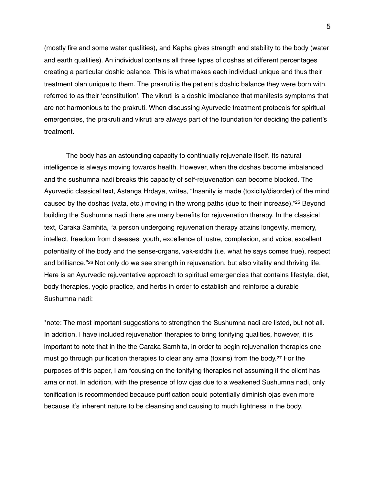(mostly fire and some water qualities), and Kapha gives strength and stability to the body (water and earth qualities). An individual contains all three types of doshas at different percentages creating a particular doshic balance. This is what makes each individual unique and thus their treatment plan unique to them. The prakruti is the patient's doshic balance they were born with, referred to as their 'constitution'. The vikruti is a doshic imbalance that manifests symptoms that are not harmonious to the prakruti. When discussing Ayurvedic treatment protocols for spiritual emergencies, the prakruti and vikruti are always part of the foundation for deciding the patient's treatment.

<span id="page-4-0"></span>The body has an astounding capacity to continually rejuvenate itself. Its natural intelligence is always moving towards health. However, when the doshas become imbalanced and the sushumna nadi breaks this capacity of self-rejuvenation can become blocked. The Ayurvedic classical text, Astanga Hrdaya, writes, "Insanity is made (toxicity/disorder) of the mind caused by the doshas (vata, etc.) moving in the wrong paths (due to their increase). $\frac{255}{5}$  $\frac{255}{5}$  $\frac{255}{5}$  Beyond building the Sushumna nadi there are many benefits for rejuvenation therapy. In the classical text, Caraka Samhita, "a person undergoing rejuvenation therapy attains longevity, memory, intellect, freedom from diseases, youth, excellence of lustre, complexion, and voice, excellent potentiality of the body and the sense-organs, vak-siddhi (i.e. what he says comes true), respect and brilliance."[26](#page-10-25) Not only do we see strength in rejuvenation, but also vitality and thriving life. Here is an Ayurvedic rejuventative approach to spiritual emergencies that contains lifestyle, diet, body therapies, yogic practice, and herbs in order to establish and reinforce a durable Sushumna nadi:

<span id="page-4-2"></span><span id="page-4-1"></span>\*note: The most important suggestions to strengthen the Sushumna nadi are listed, but not all. In addition, I have included rejuvenation therapies to bring tonifying qualities, however, it is important to note that in the the Caraka Samhita, in order to begin rejuvenation therapies one must go through purification therapies to clear any ama (toxins) from the body[.27](#page-11-0) For the purposes of this paper, I am focusing on the tonifying therapies not assuming if the client has ama or not. In addition, with the presence of low ojas due to a weakened Sushumna nadi, only tonification is recommended because purification could potentially diminish ojas even more because it's inherent nature to be cleansing and causing to much lightness in the body.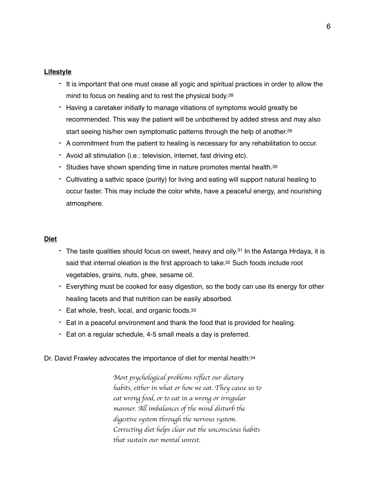## **Lifestyle**

- It is important that one must cease all yogic and spiritual practices in order to allow the mind to focus on healing and to rest the physical body.[28](#page-11-1)
- <span id="page-5-0"></span>- Having a caretaker initially to manage vitiations of symptoms would greatly be recommended. This way the patient will be unbothered by added stress and may also start seeing his/her own symptomatic patterns through the help of another.<sup>29</sup>
- <span id="page-5-1"></span>- A commitment from the patient to healing is necessary for any rehabilitation to occur.
- Avoid all stimulation (i.e.: television, internet, fast driving etc).
- Studies have shown spending time in nature promotes mental health.<sup>[30](#page-11-3)</sup>
- <span id="page-5-2"></span>- Cultivating a sattvic space (purity) for living and eating will support natural healing to occur faster. This may include the color white, have a peaceful energy, and nourishing atmosphere.

## **Diet**

- The taste qualities should focus on sweet, heavy and oily.<sup>[31](#page-11-4)</sup> In the Astanga Hrdaya, it is said that internal oleation is the first approach to take.<sup>32</sup> Such foods include root vegetables, grains, nuts, ghee, sesame oil.
- Everything must be cooked for easy digestion, so the body can use its energy for other healing facets and that nutrition can be easily absorbed.
- Eat whole, fresh, local, and organic foods.<sup>33</sup>
- Eat in a peaceful environment and thank the food that is provided for healing.
- Eat on a regular schedule, 4-5 small meals a day is preferred.

Dr. David Frawley advocates the importance of diet for mental health: [34](#page-11-7)

<span id="page-5-6"></span><span id="page-5-5"></span><span id="page-5-4"></span><span id="page-5-3"></span>*Most psychological problems reflect our dietary habits, either in what or how we eat. They cause us to eat wrong food, or to eat in a wrong or irregular manner. All imbalances of the mind disturb the digestive system through the nervous system. Correcting diet helps clear out the unconscious habits that sustain our mental unrest.*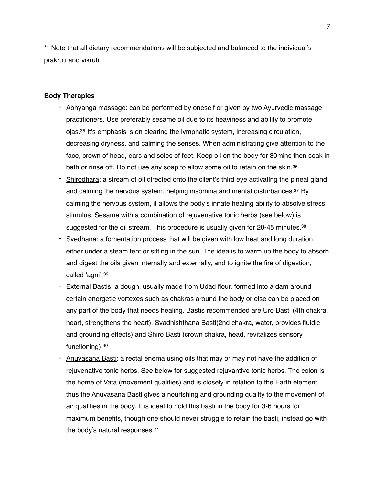\*\* Note that all dietary recommendations will be subjected and balanced to the individual's prakruti and vikruti.

### **Body Therapies**

- <span id="page-6-0"></span>- Abhyanga massage: can be performed by oneself or given by two Ayurvedic massage practitioners. Use preferably sesame oil due to its heaviness and ability to promote ojas[.](#page-11-8)  $35$  It's emphasis is on clearing the lymphatic system, increasing circulation, decreasing dryness, and calming the senses. When administrating give attention to the face, crown of head, ears and soles of feet. Keep oil on the body for 30mins then soak in bath or rinse off. Do not use any soap to allow some oil to retain on the skin.[36](#page-11-9)
- <span id="page-6-2"></span><span id="page-6-1"></span>- Shirodhara: a stream of oil directed onto the client's third eye activating the pineal gland and calming the nervous system, helping insomnia and mental disturbances[.37](#page-11-10) By calming the nervous system, it allows the body's innate healing ability to absolve stress stimulus. Sesame with a combination of rejuvenative tonic herbs (see below) is suggested for the oil stream. This procedure is usually given for  $20-45$  minutes.<sup>38</sup>
- <span id="page-6-3"></span>Svedhana: a fomentation process that will be given with low heat and long duration either under a steam tent or sitting in the sun. The idea is to warm up the body to absorb and digest the oils given internally and externally, and to ignite the fire of digestion, called 'agni'.[39](#page-11-12)
- <span id="page-6-4"></span>- External Bastis: a dough, usually made from Udad flour, formed into a dam around certain energetic vortexes such as chakras around the body or else can be placed on any part of the body that needs healing. Bastis recommended are Uro Basti (4th chakra, heart, strengthens the heart), Svadhishthana Basti(2nd chakra, water, provides fluidic and grounding effects) and Shiro Basti (crown chakra, head, revitalizes sensory functioning).[40](#page-11-13)
- <span id="page-6-6"></span><span id="page-6-5"></span>Anuvasana Basti: a rectal enema using oils that may or may not have the addition of rejuvenative tonic herbs. See below for suggested rejuvantive tonic herbs. The colon is the home of Vata (movement qualities) and is closely in relation to the Earth element, thus the Anuvasana Basti gives a nourishing and grounding quality to the movement of air qualities in the body. It is ideal to hold this basti in the body for 3-6 hours for maximum benefits, though one should never struggle to retain the basti, instead go with the body's natural responses.[41](#page-11-14)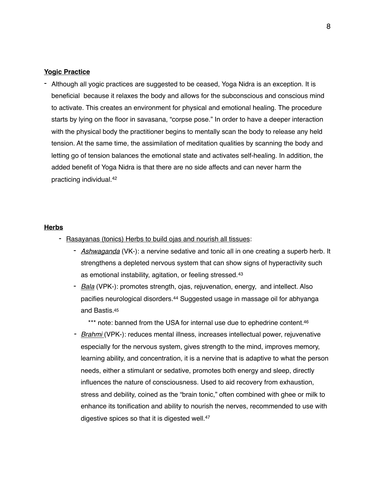### **Yogic Practice**

- Although all yogic practices are suggested to be ceased, Yoga Nidra is an exception. It is beneficial because it relaxes the body and allows for the subconscious and conscious mind to activate. This creates an environment for physical and emotional healing. The procedure starts by lying on the floor in savasana, "corpse pose." In order to have a deeper interaction with the physical body the practitioner begins to mentally scan the body to release any held tension. At the same time, the assimilation of meditation qualities by scanning the body and letting go of tension balances the emotional state and activates self-healing. In addition, the added benefit of Yoga Nidra is that there are no side affects and can never harm the practicing individual[.42](#page-11-15)

#### **Herbs**

- <span id="page-7-5"></span><span id="page-7-4"></span><span id="page-7-3"></span><span id="page-7-2"></span><span id="page-7-1"></span><span id="page-7-0"></span>- Rasayanas (tonics) Herbs to build ojas and nourish all tissues:
	- *Ashwaganda* (VK-): a nervine sedative and tonic all in one creating a superb herb. It strengthens a depleted nervous system that can show signs of hyperactivity such as emotional instability, agitation, or feeling stressed.[43](#page-11-16)
	- *Bala* (VPK-): promotes strength, ojas, rejuvenation, energy, and intellect. Also pacifies neurological disorders[.](#page-11-17)<sup>[44](#page-11-17)</sup> Suggested usage in massage oil for abhyanga and Bastis[.45](#page-11-18)
	- \*\*\* note: banned from the USA for internal use due to ephedrine content.<sup>46</sup> *- Brahmi* (VPK-): reduces mental illness, increases intellectual power, rejuvenative especially for the nervous system, gives strength to the mind, improves memory, learning ability, and concentration, it is a nervine that is adaptive to what the person needs, either a stimulant or sedative, promotes both energy and sleep, directly influences the nature of consciousness. Used to aid recovery from exhaustion, stress and debility, coined as the "brain tonic," often combined with ghee or milk to enhance its tonification and ability to nourish the nerves, recommended to use with digestive spices so that it is digested well.<sup>[47](#page-11-20)</sup>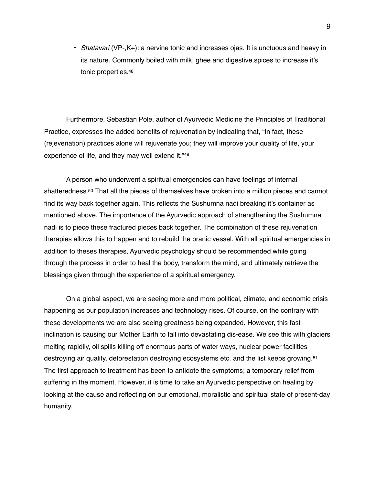<span id="page-8-0"></span>- *Shatavari* (VP-,K+): a nervine tonic and increases ojas. It is unctuous and heavy in its nature. Commonly boiled with milk, ghee and digestive spices to increase it's tonic properties[.48](#page-11-21)

Furthermore, Sebastian Pole, author of Ayurvedic Medicine the Principles of Traditional Practice, expresses the added benefits of rejuvenation by indicating that, "In fact, these (rejevenation) practices alone will rejuvenate you; they will improve your quality of life, your experience of life, and they may well extend it."[49](#page-11-22)

<span id="page-8-2"></span><span id="page-8-1"></span>A person who underwent a spiritual emergencies can have feelings of internal shatteredness[.50](#page-11-23) That all the pieces of themselves have broken into a million pieces and cannot find its way back together again. This reflects the Sushumna nadi breaking it's container as mentioned above. The importance of the Ayurvedic approach of strengthening the Sushumna nadi is to piece these fractured pieces back together. The combination of these rejuvenation therapies allows this to happen and to rebuild the pranic vessel. With all spiritual emergencies in addition to theses therapies, Ayurvedic psychology should be recommended while going through the process in order to heal the body, transform the mind, and ultimately retrieve the blessings given through the experience of a spiritual emergency.

<span id="page-8-3"></span>On a global aspect, we are seeing more and more political, climate, and economic crisis happening as our population increases and technology rises. Of course, on the contrary with these developments we are also seeing greatness being expanded. However, this fast inclination is causing our Mother Earth to fall into devastating dis-ease. We see this with glaciers melting rapidily, oil spills killing off enormous parts of water ways, nuclear power facilities destroying air quality, deforestation destroying ecosystems etc. and the list keeps growing.[51](#page-11-24) The first approach to treatment has been to antidote the symptoms; a temporary relief from suffering in the moment. However, it is time to take an Ayurvedic perspective on healing by looking at the cause and reflecting on our emotional, moralistic and spiritual state of present-day humanity.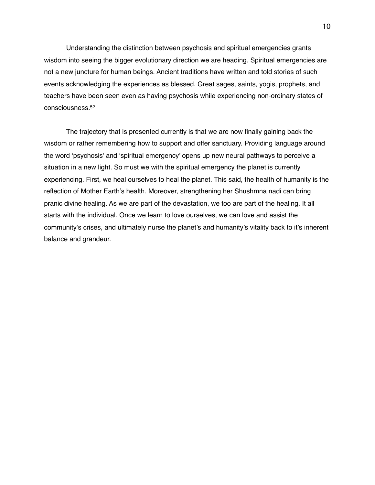Understanding the distinction between psychosis and spiritual emergencies grants wisdom into seeing the bigger evolutionary direction we are heading. Spiritual emergencies are not a new juncture for human beings. Ancient traditions have written and told stories of such events acknowledging the experiences as blessed. Great sages, saints, yogis, prophets, and teachers have been seen even as having psychosis while experiencing non-ordinary states of consciousness[.52](#page-12-0)

<span id="page-9-0"></span>The trajectory that is presented currently is that we are now finally gaining back the wisdom or rather remembering how to support and offer sanctuary. Providing language around the word 'psychosis' and 'spiritual emergency' opens up new neural pathways to perceive a situation in a new light. So must we with the spiritual emergency the planet is currently experiencing. First, we heal ourselves to heal the planet. This said, the health of humanity is the reflection of Mother Earth's health. Moreover, strengthening her Shushmna nadi can bring pranic divine healing. As we are part of the devastation, we too are part of the healing. It all starts with the individual. Once we learn to love ourselves, we can love and assist the community's crises, and ultimately nurse the planet's and humanity's vitality back to it's inherent balance and grandeur.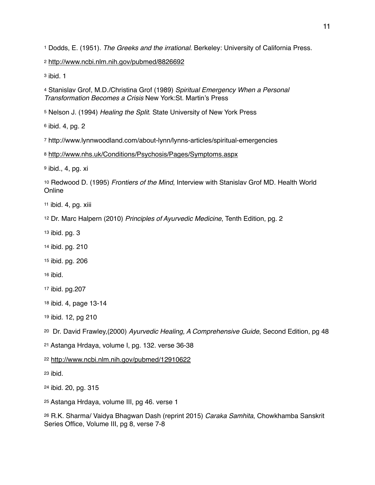<span id="page-10-0"></span>Dodds, E. (1951). *The Greeks and the irrational*. Berkeley: University of California Press.

<span id="page-10-1"></span><http://www.ncbi.nlm.nih.gov/pubmed/8826692>

<span id="page-10-2"></span>ibid. 1

<span id="page-10-3"></span> Stanislav Grof, M.D./Christina Grof (1989) *Spiritual Emergency When a Personal Transformation Becomes a Crisis* New York:St. Martin's Press

<span id="page-10-4"></span>Nelson J. (1994) *Healing the Split*. State University of New York Press

<span id="page-10-5"></span>ibid. 4, pg. 2

<span id="page-10-6"></span>http://www.lynnwoodland.com/about-lynn/lynns-articles/spiritual-emergencies

<span id="page-10-7"></span><http://www.nhs.uk/Conditions/Psychosis/Pages/Symptoms.aspx>

<span id="page-10-8"></span>ibid., 4, pg. xi

<span id="page-10-9"></span> Redwood D. (1995) *Frontiers of the Mind*, Interview with Stanislav Grof MD. Health World **Online** 

<span id="page-10-10"></span>ibid. 4, pg. xiii

<span id="page-10-11"></span>Dr. Marc Halpern (2010) *Principles of Ayurvedic Medicine*, Tenth Edition, pg. 2

<span id="page-10-12"></span>ibid. pg. 3

- <span id="page-10-13"></span>ibid. pg. 210
- <span id="page-10-14"></span>ibid. pg. 206

<span id="page-10-15"></span>ibid.

- <span id="page-10-16"></span>ibid. pg.207
- <span id="page-10-17"></span>ibid. 4, page 13-14
- <span id="page-10-18"></span>ibid. 12, pg 210

<span id="page-10-19"></span>Dr. David Frawley,(2000) *Ayurvedic Healing, A Comprehensive Guide*, Second Edition, pg 48

<span id="page-10-20"></span>Astanga Hrdaya, volume I, pg. 132. verse 36-38

<span id="page-10-21"></span><http://www.ncbi.nlm.nih.gov/pubmed/12910622>

<span id="page-10-22"></span>ibid.

<span id="page-10-23"></span>ibid. 20, pg. 315

<span id="page-10-24"></span>Astanga Hrdaya, volume III, pg 46. verse 1

<span id="page-10-25"></span> R.K. Sharma/ Vaidya Bhagwan Dash (reprint 2015) *Caraka Samhita*, Chowkhamba Sanskrit Series Office, Volume III, pg 8, verse 7-8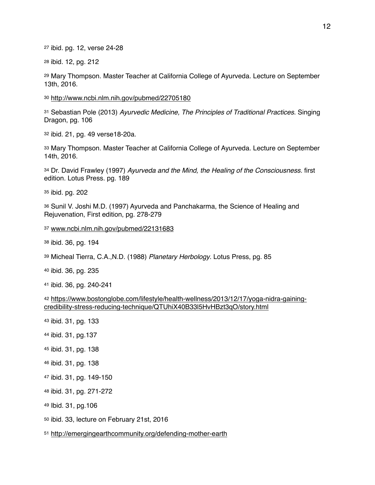<span id="page-11-0"></span>ibid. pg. 12, verse 24-28

<span id="page-11-1"></span>ibid. 12, pg. 212

<span id="page-11-2"></span> Mary Thompson. Master Teacher at California College of Ayurveda. Lecture on September 13th, 2016.

<span id="page-11-3"></span><http://www.ncbi.nlm.nih.gov/pubmed/22705180>

<span id="page-11-4"></span> Sebastian Pole (2013) *Ayurvedic Medicine, The Principles of Traditional Practices*. Singing Dragon, pg. 106

<span id="page-11-5"></span>ibid. 21, pg. 49 verse18-20a.

<span id="page-11-6"></span> Mary Thompson. Master Teacher at California College of Ayurveda. Lecture on September 14th, 2016.

<span id="page-11-7"></span> Dr. David Frawley (1997) *Ayurveda and the Mind, the Healing of the Consciousness.* first edition. Lotus Press. pg. 189

<span id="page-11-8"></span>ibid. pg. 202

<span id="page-11-9"></span> Sunil V. Joshi M.D. (1997) Ayurveda and Panchakarma, the Science of Healing and Rejuvenation, First edition, pg. 278-279

<span id="page-11-10"></span>[www.ncbi.nlm.nih.gov/pubmed/22131683](http://www.ncbi.nlm.nih.gov/pubmed/22131683)

<span id="page-11-11"></span>ibid. 36, pg. 194

<span id="page-11-12"></span>Micheal Tierra, C.A.,N.D. (1988) *Planetary Herbology*. Lotus Press, pg. 85

<span id="page-11-13"></span>ibid. 36, pg. 235

<span id="page-11-14"></span>ibid. 36, pg. 240-241

```
42 https://www.bostonglobe.com/lifestyle/health-wellness/2013/12/17/yoga-nidra-gaining-
credibility-stress-reducing-technique/QTUhiX40B33l5HvHBzt3qO/story.html
```
- <span id="page-11-16"></span>ibid. 31, pg. 133
- <span id="page-11-17"></span>ibid. 31, pg.137
- <span id="page-11-18"></span>ibid. 31, pg. 138
- <span id="page-11-19"></span>ibid. 31, pg. 138
- <span id="page-11-20"></span>ibid. 31, pg. 149-150
- <span id="page-11-21"></span>ibid. 31, pg. 271-272
- <span id="page-11-22"></span>Ibid. 31, pg.106
- <span id="page-11-23"></span>ibid. 33, lecture on February 21st, 2016

<span id="page-11-24"></span><http://emergingearthcommunity.org/defending-mother-earth>